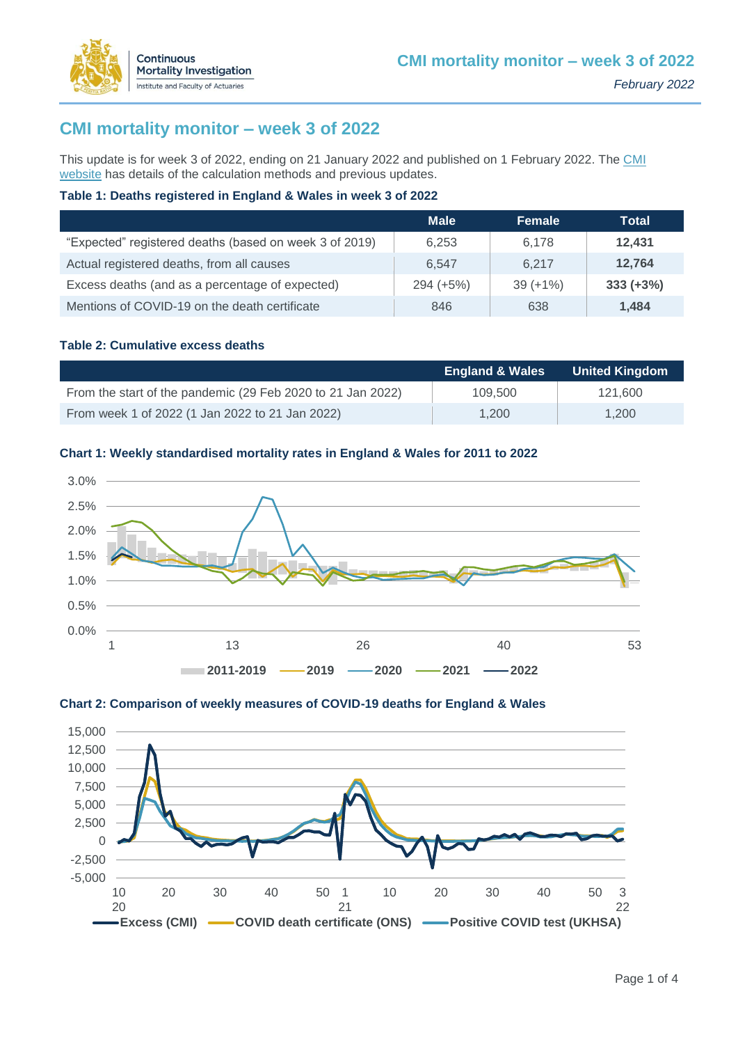

This update is for week 3 of 2022, ending on 21 January 2022 and published on 1 February 2022. The CMI [website](https://www.actuaries.org.uk/learn-and-develop/continuous-mortality-investigation/other-cmi-outputs/mortality-monitor) has details of the calculation methods and previous updates.

### **Table 1: Deaths registered in England & Wales in week 3 of 2022**

|                                                        | <b>Male</b> | <b>Female</b> | Total       |
|--------------------------------------------------------|-------------|---------------|-------------|
| "Expected" registered deaths (based on week 3 of 2019) | 6.253       | 6.178         | 12.431      |
| Actual registered deaths, from all causes              | 6.547       | 6.217         | 12.764      |
| Excess deaths (and as a percentage of expected)        | $294 (+5%)$ | $39 (+1\%)$   | $333 (+3%)$ |
| Mentions of COVID-19 on the death certificate          | 846         | 638           | 1.484       |

### **Table 2: Cumulative excess deaths**

Continuous

**Mortality Investigation** Institute and Faculty of Actuaries

|                                                             | <b>England &amp; Wales</b> | <b>United Kingdom</b> |
|-------------------------------------------------------------|----------------------------|-----------------------|
| From the start of the pandemic (29 Feb 2020 to 21 Jan 2022) | 109.500                    | 121.600               |
| From week 1 of 2022 (1 Jan 2022 to 21 Jan 2022)             | 1.200                      | 1.200                 |

### **Chart 1: Weekly standardised mortality rates in England & Wales for 2011 to 2022**





### **Chart 2: Comparison of weekly measures of COVID-19 deaths for England & Wales**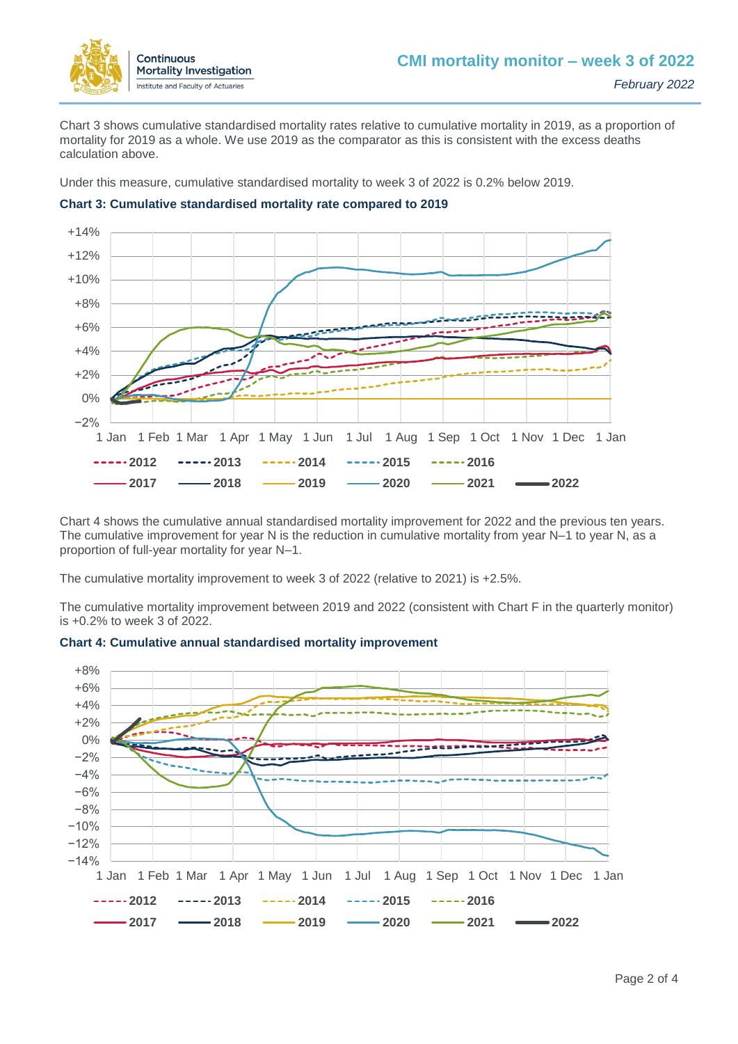

Chart 3 shows cumulative standardised mortality rates relative to cumulative mortality in 2019, as a proportion of mortality for 2019 as a whole. We use 2019 as the comparator as this is consistent with the excess deaths calculation above.

Under this measure, cumulative standardised mortality to week 3 of 2022 is 0.2% below 2019.



### **Chart 3: Cumulative standardised mortality rate compared to 2019**

Chart 4 shows the cumulative annual standardised mortality improvement for 2022 and the previous ten years. The cumulative improvement for year N is the reduction in cumulative mortality from year N–1 to year N, as a proportion of full-year mortality for year N–1.

The cumulative mortality improvement to week 3 of 2022 (relative to 2021) is +2.5%.

The cumulative mortality improvement between 2019 and 2022 (consistent with Chart F in the quarterly monitor) is +0.2% to week 3 of 2022.



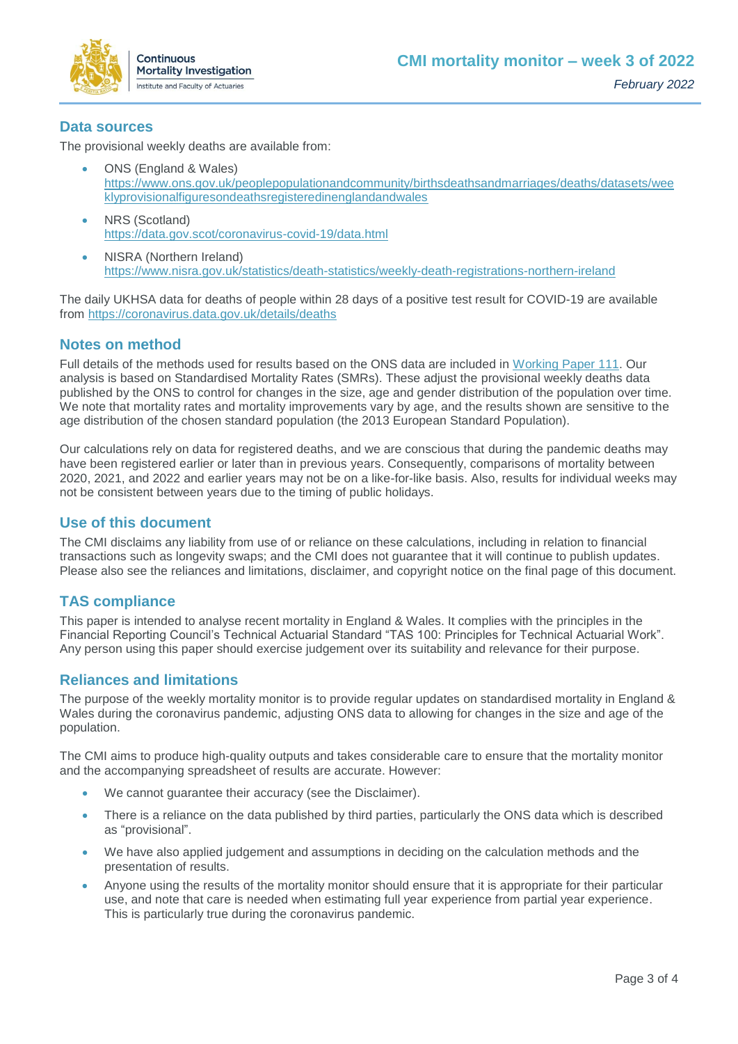

## **Data sources**

The provisional weekly deaths are available from:

- ONS (England & Wales) [https://www.ons.gov.uk/peoplepopulationandcommunity/birthsdeathsandmarriages/deaths/datasets/wee](https://www.ons.gov.uk/peoplepopulationandcommunity/birthsdeathsandmarriages/deaths/datasets/weeklyprovisionalfiguresondeathsregisteredinenglandandwales) [klyprovisionalfiguresondeathsregisteredinenglandandwales](https://www.ons.gov.uk/peoplepopulationandcommunity/birthsdeathsandmarriages/deaths/datasets/weeklyprovisionalfiguresondeathsregisteredinenglandandwales)
- NRS (Scotland) <https://data.gov.scot/coronavirus-covid-19/data.html>
- NISRA (Northern Ireland) <https://www.nisra.gov.uk/statistics/death-statistics/weekly-death-registrations-northern-ireland>

The daily UKHSA data for deaths of people within 28 days of a positive test result for COVID-19 are available from<https://coronavirus.data.gov.uk/details/deaths>

# **Notes on method**

Full details of the methods used for results based on the ONS data are included in [Working Paper 111.](https://www.actuaries.org.uk/learn-and-develop/continuous-mortality-investigation/cmi-working-papers/mortality-projections/cmi-working-paper-111) Our analysis is based on Standardised Mortality Rates (SMRs). These adjust the provisional weekly deaths data published by the ONS to control for changes in the size, age and gender distribution of the population over time. We note that mortality rates and mortality improvements vary by age, and the results shown are sensitive to the age distribution of the chosen standard population (the 2013 European Standard Population).

Our calculations rely on data for registered deaths, and we are conscious that during the pandemic deaths may have been registered earlier or later than in previous years. Consequently, comparisons of mortality between 2020, 2021, and 2022 and earlier years may not be on a like-for-like basis. Also, results for individual weeks may not be consistent between years due to the timing of public holidays.

### **Use of this document**

The CMI disclaims any liability from use of or reliance on these calculations, including in relation to financial transactions such as longevity swaps; and the CMI does not guarantee that it will continue to publish updates. Please also see the reliances and limitations, disclaimer, and copyright notice on the final page of this document.

# **TAS compliance**

This paper is intended to analyse recent mortality in England & Wales. It complies with the principles in the Financial Reporting Council's Technical Actuarial Standard "TAS 100: Principles for Technical Actuarial Work". Any person using this paper should exercise judgement over its suitability and relevance for their purpose.

# **Reliances and limitations**

The purpose of the weekly mortality monitor is to provide regular updates on standardised mortality in England & Wales during the coronavirus pandemic, adjusting ONS data to allowing for changes in the size and age of the population.

The CMI aims to produce high-quality outputs and takes considerable care to ensure that the mortality monitor and the accompanying spreadsheet of results are accurate. However:

- We cannot guarantee their accuracy (see the Disclaimer).
- There is a reliance on the data published by third parties, particularly the ONS data which is described as "provisional".
- We have also applied judgement and assumptions in deciding on the calculation methods and the presentation of results.
- Anyone using the results of the mortality monitor should ensure that it is appropriate for their particular use, and note that care is needed when estimating full year experience from partial year experience. This is particularly true during the coronavirus pandemic.